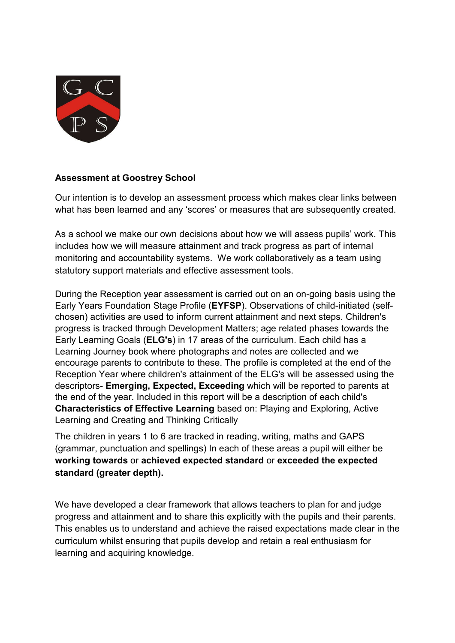

## **Assessment at Goostrey School**

Our intention is to develop an assessment process which makes clear links between what has been learned and any 'scores' or measures that are subsequently created.

As a school we make our own decisions about how we will assess pupils' work. This includes how we will measure attainment and track progress as part of internal monitoring and accountability systems. We work collaboratively as a team using statutory support materials and effective assessment tools.

During the Reception year assessment is carried out on an on-going basis using the Early Years Foundation Stage Profile (**EYFSP**). Observations of child-initiated (selfchosen) activities are used to inform current attainment and next steps. Children's progress is tracked through Development Matters; age related phases towards the Early Learning Goals (**ELG's**) in 17 areas of the curriculum. Each child has a Learning Journey book where photographs and notes are collected and we encourage parents to contribute to these. The profile is completed at the end of the Reception Year where children's attainment of the ELG's will be assessed using the descriptors- **Emerging, Expected, Exceeding** which will be reported to parents at the end of the year. Included in this report will be a description of each child's **Characteristics of Effective Learning** based on: Playing and Exploring, Active Learning and Creating and Thinking Critically

The children in years 1 to 6 are tracked in reading, writing, maths and GAPS (grammar, punctuation and spellings) In each of these areas a pupil will either be **working towards** or **achieved expected standard** or **exceeded the expected standard (greater depth).**

We have developed a clear framework that allows teachers to plan for and judge progress and attainment and to share this explicitly with the pupils and their parents. This enables us to understand and achieve the raised expectations made clear in the curriculum whilst ensuring that pupils develop and retain a real enthusiasm for learning and acquiring knowledge.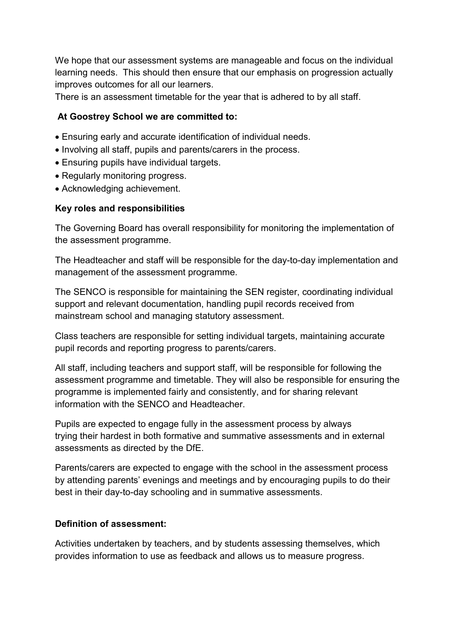We hope that our assessment systems are manageable and focus on the individual learning needs. This should then ensure that our emphasis on progression actually improves outcomes for all our learners.

There is an assessment timetable for the year that is adhered to by all staff.

# **At Goostrey School we are committed to:**

- Ensuring early and accurate identification of individual needs.
- Involving all staff, pupils and parents/carers in the process.
- Ensuring pupils have individual targets.
- Regularly monitoring progress.
- Acknowledging achievement.

# **Key roles and responsibilities**

The Governing Board has overall responsibility for monitoring the implementation of the assessment programme.

The Headteacher and staff will be responsible for the day-to-day implementation and management of the assessment programme.

The SENCO is responsible for maintaining the SEN register, coordinating individual support and relevant documentation, handling pupil records received from mainstream school and managing statutory assessment.

Class teachers are responsible for setting individual targets, maintaining accurate pupil records and reporting progress to parents/carers.

All staff, including teachers and support staff, will be responsible for following the assessment programme and timetable. They will also be responsible for ensuring the programme is implemented fairly and consistently, and for sharing relevant information with the SENCO and Headteacher.

Pupils are expected to engage fully in the assessment process by always trying their hardest in both formative and summative assessments and in external assessments as directed by the DfE.

Parents/carers are expected to engage with the school in the assessment process by attending parents' evenings and meetings and by encouraging pupils to do their best in their day-to-day schooling and in summative assessments.

## **Definition of assessment:**

Activities undertaken by teachers, and by students assessing themselves, which provides information to use as feedback and allows us to measure progress.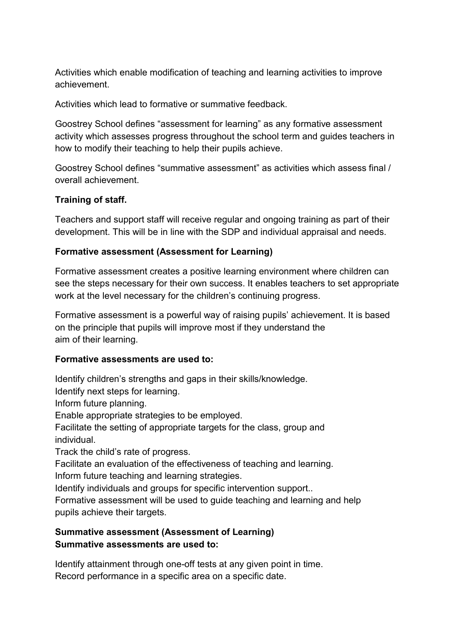Activities which enable modification of teaching and learning activities to improve achievement.

Activities which lead to formative or summative feedback.

Goostrey School defines "assessment for learning" as any formative assessment activity which assesses progress throughout the school term and guides teachers in how to modify their teaching to help their pupils achieve.

Goostrey School defines "summative assessment" as activities which assess final / overall achievement.

# **Training of staff.**

Teachers and support staff will receive regular and ongoing training as part of their development. This will be in line with the SDP and individual appraisal and needs.

# **Formative assessment (Assessment for Learning)**

Formative assessment creates a positive learning environment where children can see the steps necessary for their own success. It enables teachers to set appropriate work at the level necessary for the children's continuing progress.

Formative assessment is a powerful way of raising pupils' achievement. It is based on the principle that pupils will improve most if they understand the aim of their learning.

## **Formative assessments are used to:**

Identify children's strengths and gaps in their skills/knowledge.

Identify next steps for learning.

Inform future planning.

Enable appropriate strategies to be employed.

Facilitate the setting of appropriate targets for the class, group and individual.

Track the child's rate of progress.

Facilitate an evaluation of the effectiveness of teaching and learning.

Inform future teaching and learning strategies.

Identify individuals and groups for specific intervention support...

Formative assessment will be used to guide teaching and learning and help pupils achieve their targets.

# **Summative assessment (Assessment of Learning) Summative assessments are used to:**

Identify attainment through one-off tests at any given point in time. Record performance in a specific area on a specific date.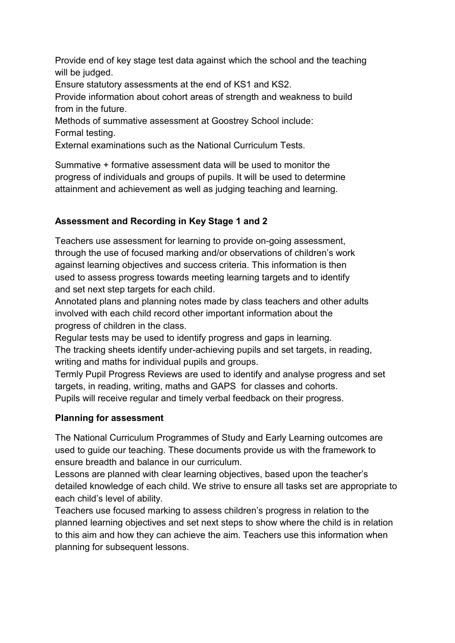Provide end of key stage test data against which the school and the teaching will be judged.

Ensure statutory assessments at the end of KS1 and KS2.

Provide information about cohort areas of strength and weakness to build from in the future.

Methods of summative assessment at Goostrey School include: Formal testing.

External examinations such as the National Curriculum Tests.

Summative + formative assessment data will be used to monitor the progress of individuals and groups of pupils. It will be used to determine attainment and achievement as well as judging teaching and learning.

# **Assessment and Recording in Key Stage 1 and 2**

Teachers use assessment for learning to provide on-going assessment, through the use of focused marking and/or observations of children's work against learning objectives and success criteria. This information is then used to assess progress towards meeting learning targets and to identify and set next step targets for each child.

Annotated plans and planning notes made by class teachers and other adults involved with each child record other important information about the progress of children in the class.

Regular tests may be used to identify progress and gaps in learning.

The tracking sheets identify under-achieving pupils and set targets, in reading, writing and maths for individual pupils and groups.

Termly Pupil Progress Reviews are used to identify and analyse progress and set targets, in reading, writing, maths and GAPS for classes and cohorts. Pupils will receive regular and timely verbal feedback on their progress.

# **Planning for assessment**

The National Curriculum Programmes of Study and Early Learning outcomes are used to guide our teaching. These documents provide us with the framework to ensure breadth and balance in our curriculum.

Lessons are planned with clear learning objectives, based upon the teacher's detailed knowledge of each child. We strive to ensure all tasks set are appropriate to each child's level of ability.

Teachers use focused marking to assess children's progress in relation to the planned learning objectives and set next steps to show where the child is in relation to this aim and how they can achieve the aim. Teachers use this information when planning for subsequent lessons.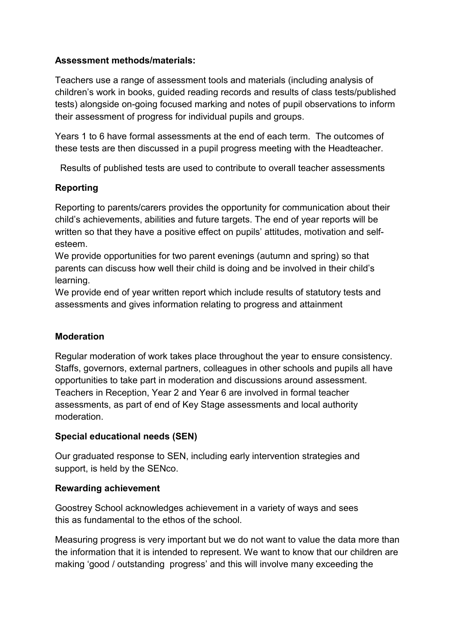# **Assessment methods/materials:**

Teachers use a range of assessment tools and materials (including analysis of children's work in books, guided reading records and results of class tests/published tests) alongside on-going focused marking and notes of pupil observations to inform their assessment of progress for individual pupils and groups.

Years 1 to 6 have formal assessments at the end of each term. The outcomes of these tests are then discussed in a pupil progress meeting with the Headteacher.

Results of published tests are used to contribute to overall teacher assessments

# **Reporting**

Reporting to parents/carers provides the opportunity for communication about their child's achievements, abilities and future targets. The end of year reports will be written so that they have a positive effect on pupils' attitudes, motivation and selfesteem.

We provide opportunities for two parent evenings (autumn and spring) so that parents can discuss how well their child is doing and be involved in their child's learning.

We provide end of year written report which include results of statutory tests and assessments and gives information relating to progress and attainment

## **Moderation**

Regular moderation of work takes place throughout the year to ensure consistency. Staffs, governors, external partners, colleagues in other schools and pupils all have opportunities to take part in moderation and discussions around assessment. Teachers in Reception, Year 2 and Year 6 are involved in formal teacher assessments, as part of end of Key Stage assessments and local authority moderation.

## **Special educational needs (SEN)**

Our graduated response to SEN, including early intervention strategies and support, is held by the SENco.

## **Rewarding achievement**

Goostrey School acknowledges achievement in a variety of ways and sees this as fundamental to the ethos of the school.

Measuring progress is very important but we do not want to value the data more than the information that it is intended to represent. We want to know that our children are making 'good / outstanding progress' and this will involve many exceeding the